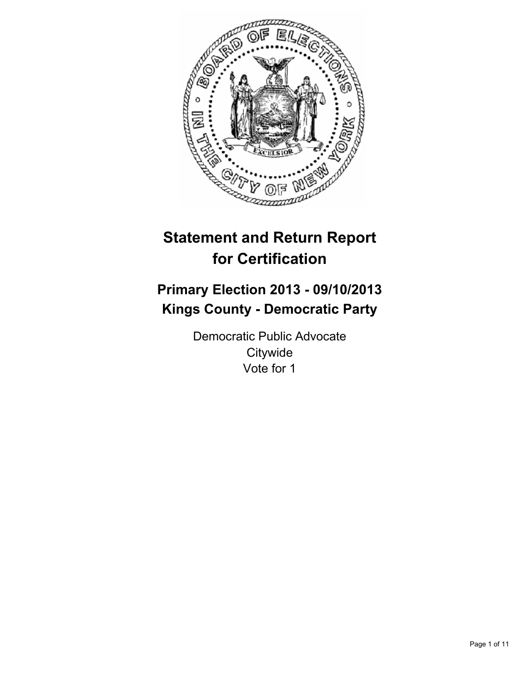

# **Statement and Return Report for Certification**

## **Primary Election 2013 - 09/10/2013 Kings County - Democratic Party**

Democratic Public Advocate **Citywide** Vote for 1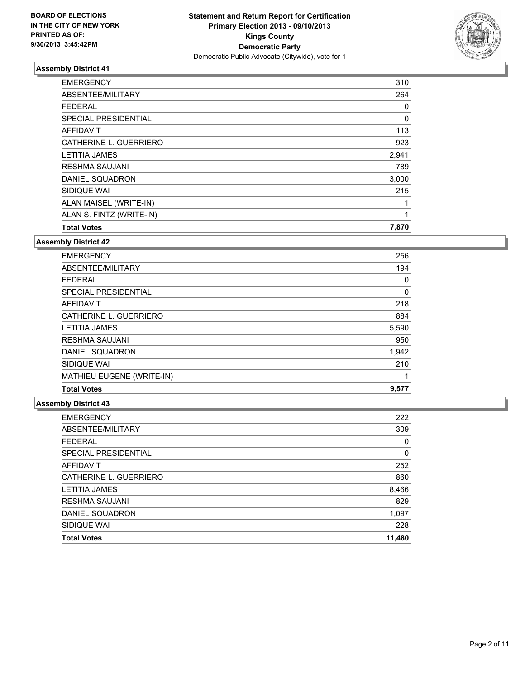

| <b>EMERGENCY</b>         | 310   |
|--------------------------|-------|
| ABSENTEE/MILITARY        | 264   |
| <b>FEDERAL</b>           | 0     |
| SPECIAL PRESIDENTIAL     | 0     |
| <b>AFFIDAVIT</b>         | 113   |
| CATHERINE L. GUERRIERO   | 923   |
| <b>LETITIA JAMES</b>     | 2,941 |
| <b>RESHMA SAUJANI</b>    | 789   |
| DANIEL SQUADRON          | 3,000 |
| SIDIQUE WAI              | 215   |
| ALAN MAISEL (WRITE-IN)   | 1     |
| ALAN S. FINTZ (WRITE-IN) | 1     |
| <b>Total Votes</b>       | 7,870 |

#### **Assembly District 42**

| <b>EMERGENCY</b>          | 256   |
|---------------------------|-------|
| ABSENTEE/MILITARY         | 194   |
| <b>FEDERAL</b>            | 0     |
| SPECIAL PRESIDENTIAL      | 0     |
| AFFIDAVIT                 | 218   |
| CATHERINE L. GUERRIERO    | 884   |
| <b>LETITIA JAMES</b>      | 5,590 |
| <b>RESHMA SAUJANI</b>     | 950   |
| DANIEL SQUADRON           | 1,942 |
| SIDIQUE WAI               | 210   |
| MATHIEU EUGENE (WRITE-IN) |       |
| <b>Total Votes</b>        | 9,577 |

| <b>EMERGENCY</b>       | 222         |
|------------------------|-------------|
| ABSENTEE/MILITARY      | 309         |
| <b>FEDERAL</b>         | 0           |
| SPECIAL PRESIDENTIAL   | $\mathbf 0$ |
| <b>AFFIDAVIT</b>       | 252         |
| CATHERINE L. GUERRIERO | 860         |
| <b>LETITIA JAMES</b>   | 8,466       |
| <b>RESHMA SAUJANI</b>  | 829         |
| DANIEL SQUADRON        | 1,097       |
| SIDIQUE WAI            | 228         |
| <b>Total Votes</b>     | 11,480      |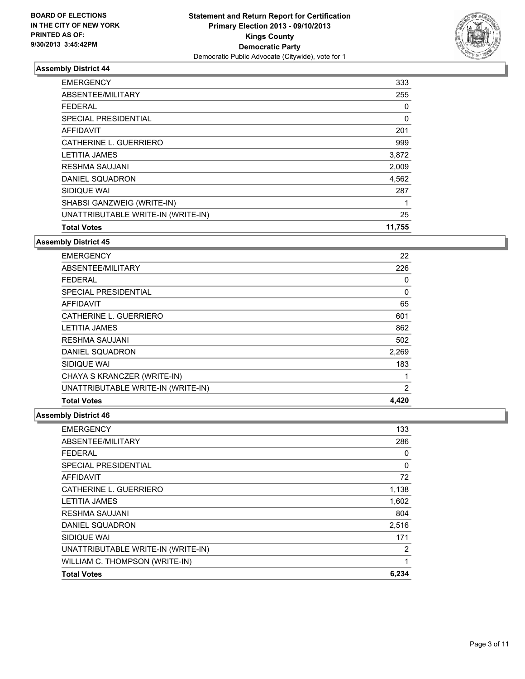

| <b>Total Votes</b>                 | 11,755 |
|------------------------------------|--------|
| UNATTRIBUTABLE WRITE-IN (WRITE-IN) | 25     |
| SHABSI GANZWEIG (WRITE-IN)         |        |
| SIDIQUE WAI                        | 287    |
| DANIEL SQUADRON                    | 4,562  |
| <b>RESHMA SAUJANI</b>              | 2,009  |
| <b>LETITIA JAMES</b>               | 3,872  |
| CATHERINE L. GUERRIERO             | 999    |
| <b>AFFIDAVIT</b>                   | 201    |
| SPECIAL PRESIDENTIAL               | 0      |
| <b>FEDERAL</b>                     | 0      |
| ABSENTEE/MILITARY                  | 255    |
| <b>EMERGENCY</b>                   | 333    |

## **Assembly District 45**

| <b>EMERGENCY</b>                   | 22       |
|------------------------------------|----------|
| ABSENTEE/MILITARY                  | 226      |
| <b>FEDERAL</b>                     | 0        |
| SPECIAL PRESIDENTIAL               | $\Omega$ |
| <b>AFFIDAVIT</b>                   | 65       |
| CATHERINE L. GUERRIERO             | 601      |
| <b>LETITIA JAMES</b>               | 862      |
| <b>RESHMA SAUJANI</b>              | 502      |
| DANIEL SQUADRON                    | 2,269    |
| SIDIQUE WAI                        | 183      |
| CHAYA S KRANCZER (WRITE-IN)        |          |
| UNATTRIBUTABLE WRITE-IN (WRITE-IN) | 2        |
| <b>Total Votes</b>                 | 4,420    |

| <b>EMERGENCY</b>                   | 133      |
|------------------------------------|----------|
| ABSENTEE/MILITARY                  | 286      |
| FEDERAL                            | 0        |
| SPECIAL PRESIDENTIAL               | $\Omega$ |
| <b>AFFIDAVIT</b>                   | 72       |
| CATHERINE L. GUERRIERO             | 1,138    |
| <b>LETITIA JAMES</b>               | 1,602    |
| <b>RESHMA SAUJANI</b>              | 804      |
| DANIEL SQUADRON                    | 2,516    |
| SIDIQUE WAI                        | 171      |
| UNATTRIBUTABLE WRITE-IN (WRITE-IN) | 2        |
| WILLIAM C. THOMPSON (WRITE-IN)     |          |
| <b>Total Votes</b>                 | 6,234    |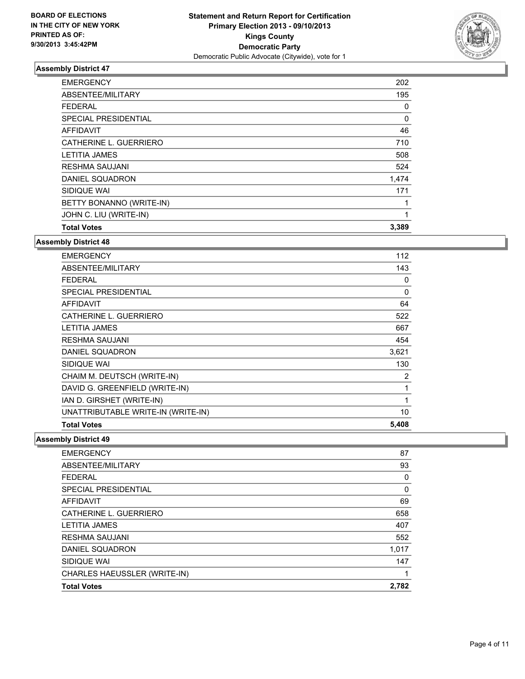

| <b>EMERGENCY</b>            | 202   |
|-----------------------------|-------|
| ABSENTEE/MILITARY           | 195   |
| <b>FEDERAL</b>              | 0     |
| <b>SPECIAL PRESIDENTIAL</b> | 0     |
| <b>AFFIDAVIT</b>            | 46    |
| CATHERINE L. GUERRIERO      | 710   |
| <b>LETITIA JAMES</b>        | 508   |
| <b>RESHMA SAUJANI</b>       | 524   |
| DANIEL SQUADRON             | 1,474 |
| SIDIQUE WAI                 | 171   |
| BETTY BONANNO (WRITE-IN)    |       |
| JOHN C. LIU (WRITE-IN)      | 1     |
| <b>Total Votes</b>          | 3,389 |

#### **Assembly District 48**

| <b>EMERGENCY</b>                   | 112      |
|------------------------------------|----------|
| ABSENTEE/MILITARY                  | 143      |
| <b>FEDERAL</b>                     | 0        |
| <b>SPECIAL PRESIDENTIAL</b>        | $\Omega$ |
| <b>AFFIDAVIT</b>                   | 64       |
| CATHERINE L. GUERRIERO             | 522      |
| <b>LETITIA JAMES</b>               | 667      |
| <b>RESHMA SAUJANI</b>              | 454      |
| DANIEL SQUADRON                    | 3,621    |
| SIDIQUE WAI                        | 130      |
| CHAIM M. DEUTSCH (WRITE-IN)        | 2        |
| DAVID G. GREENFIELD (WRITE-IN)     | 1        |
| IAN D. GIRSHET (WRITE-IN)          | 1        |
| UNATTRIBUTABLE WRITE-IN (WRITE-IN) | 10       |
| <b>Total Votes</b>                 | 5,408    |

| <b>EMERGENCY</b>             | 87    |
|------------------------------|-------|
| ABSENTEE/MILITARY            | 93    |
| <b>FEDERAL</b>               | 0     |
| SPECIAL PRESIDENTIAL         | 0     |
| AFFIDAVIT                    | 69    |
| CATHERINE L. GUERRIERO       | 658   |
| <b>LETITIA JAMES</b>         | 407   |
| <b>RESHMA SAUJANI</b>        | 552   |
| DANIEL SQUADRON              | 1,017 |
| SIDIQUE WAI                  | 147   |
| CHARLES HAEUSSLER (WRITE-IN) |       |
| <b>Total Votes</b>           | 2,782 |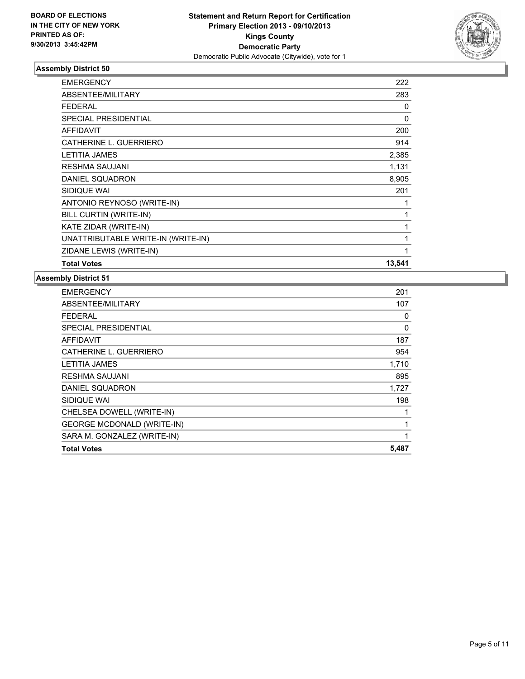

| <b>EMERGENCY</b>                   | 222          |
|------------------------------------|--------------|
| ABSENTEE/MILITARY                  | 283          |
| <b>FEDERAL</b>                     | 0            |
| SPECIAL PRESIDENTIAL               | 0            |
| <b>AFFIDAVIT</b>                   | 200          |
| CATHERINE L. GUERRIERO             | 914          |
| <b>LETITIA JAMES</b>               | 2,385        |
| RESHMA SAUJANI                     | 1,131        |
| DANIEL SQUADRON                    | 8,905        |
| SIDIQUE WAI                        | 201          |
| ANTONIO REYNOSO (WRITE-IN)         |              |
| BILL CURTIN (WRITE-IN)             | 1            |
| KATE ZIDAR (WRITE-IN)              | $\mathbf{1}$ |
| UNATTRIBUTABLE WRITE-IN (WRITE-IN) | 1            |
| ZIDANE LEWIS (WRITE-IN)            | 1            |
| <b>Total Votes</b>                 | 13,541       |

| <b>Total Votes</b>                | 5,487 |
|-----------------------------------|-------|
|                                   |       |
| SARA M. GONZALEZ (WRITE-IN)       |       |
| <b>GEORGE MCDONALD (WRITE-IN)</b> | 1     |
| CHELSEA DOWELL (WRITE-IN)         |       |
| SIDIQUE WAI                       | 198   |
| DANIEL SQUADRON                   | 1,727 |
| <b>RESHMA SAUJANI</b>             | 895   |
| <b>LETITIA JAMES</b>              | 1,710 |
| CATHERINE L. GUERRIERO            | 954   |
| AFFIDAVIT                         | 187   |
| <b>SPECIAL PRESIDENTIAL</b>       | 0     |
| FEDERAL                           | 0     |
| ABSENTEE/MILITARY                 | 107   |
| <b>EMERGENCY</b>                  | 201   |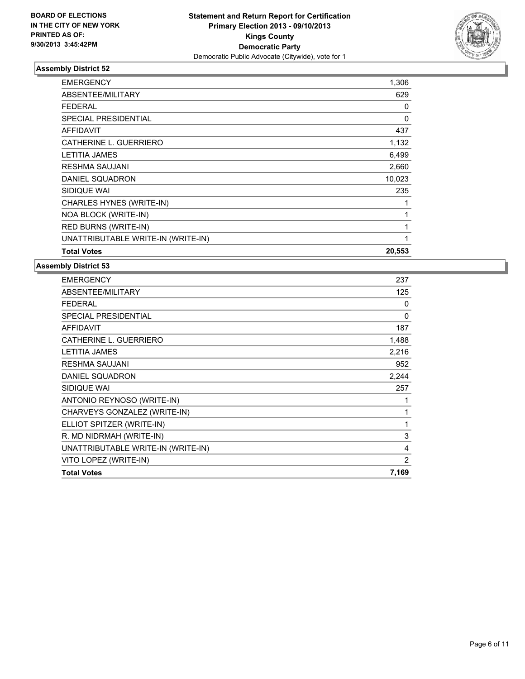

| <b>EMERGENCY</b>                   | 1,306  |
|------------------------------------|--------|
| ABSENTEE/MILITARY                  | 629    |
| FEDERAL                            | 0      |
| <b>SPECIAL PRESIDENTIAL</b>        | 0      |
| <b>AFFIDAVIT</b>                   | 437    |
| CATHERINE L. GUERRIERO             | 1,132  |
| <b>LETITIA JAMES</b>               | 6,499  |
| <b>RESHMA SAUJANI</b>              | 2,660  |
| <b>DANIEL SQUADRON</b>             | 10,023 |
| SIDIQUE WAI                        | 235    |
| CHARLES HYNES (WRITE-IN)           |        |
| NOA BLOCK (WRITE-IN)               |        |
| RED BURNS (WRITE-IN)               |        |
| UNATTRIBUTABLE WRITE-IN (WRITE-IN) | 1      |
| <b>Total Votes</b>                 | 20,553 |

| <b>EMERGENCY</b>                   | 237      |
|------------------------------------|----------|
| ABSENTEE/MILITARY                  | 125      |
| <b>FEDERAL</b>                     | 0        |
| <b>SPECIAL PRESIDENTIAL</b>        | $\Omega$ |
| <b>AFFIDAVIT</b>                   | 187      |
| CATHERINE L. GUERRIERO             | 1,488    |
| LETITIA JAMES                      | 2,216    |
| <b>RESHMA SAUJANI</b>              | 952      |
| DANIEL SQUADRON                    | 2,244    |
| SIDIQUE WAI                        | 257      |
| ANTONIO REYNOSO (WRITE-IN)         | 1        |
| CHARVEYS GONZALEZ (WRITE-IN)       | 1        |
| ELLIOT SPITZER (WRITE-IN)          | 1        |
| R. MD NIDRMAH (WRITE-IN)           | 3        |
| UNATTRIBUTABLE WRITE-IN (WRITE-IN) | 4        |
| VITO LOPEZ (WRITE-IN)              | 2        |
| <b>Total Votes</b>                 | 7,169    |
|                                    |          |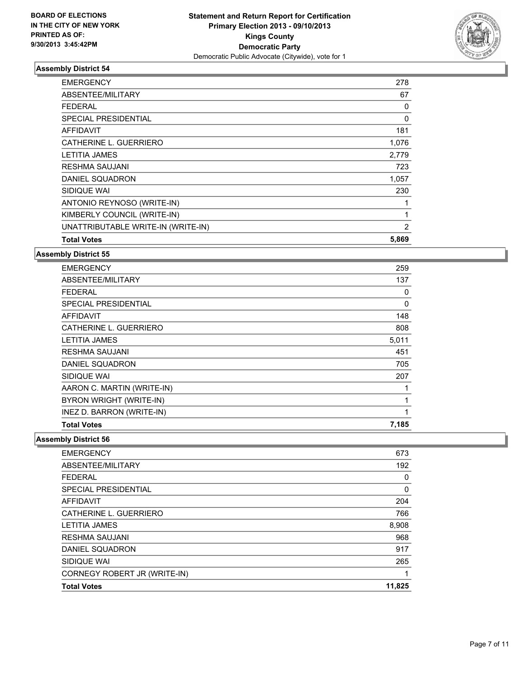

| <b>EMERGENCY</b>                   | 278      |
|------------------------------------|----------|
| ABSENTEE/MILITARY                  | 67       |
| FEDERAL                            | 0        |
| <b>SPECIAL PRESIDENTIAL</b>        | $\Omega$ |
| <b>AFFIDAVIT</b>                   | 181      |
| CATHERINE L. GUERRIERO             | 1,076    |
| <b>LETITIA JAMES</b>               | 2,779    |
| <b>RESHMA SAUJANI</b>              | 723      |
| DANIEL SQUADRON                    | 1,057    |
| SIDIQUE WAI                        | 230      |
| ANTONIO REYNOSO (WRITE-IN)         |          |
| KIMBERLY COUNCIL (WRITE-IN)        |          |
| UNATTRIBUTABLE WRITE-IN (WRITE-IN) | 2        |
| <b>Total Votes</b>                 | 5,869    |

**Assembly District 55**

| <b>EMERGENCY</b>            | 259          |
|-----------------------------|--------------|
| ABSENTEE/MILITARY           | 137          |
| <b>FEDERAL</b>              | 0            |
| <b>SPECIAL PRESIDENTIAL</b> | 0            |
| <b>AFFIDAVIT</b>            | 148          |
| CATHERINE L. GUERRIERO      | 808          |
| LETITIA JAMES               | 5,011        |
| <b>RESHMA SAUJANI</b>       | 451          |
| DANIEL SQUADRON             | 705          |
| SIDIQUE WAI                 | 207          |
| AARON C. MARTIN (WRITE-IN)  | 1            |
| BYRON WRIGHT (WRITE-IN)     | $\mathbf{1}$ |
| INEZ D. BARRON (WRITE-IN)   | 1            |
| <b>Total Votes</b>          | 7,185        |

| <b>EMERGENCY</b>             | 673    |
|------------------------------|--------|
| ABSENTEE/MILITARY            | 192    |
| <b>FFDFRAL</b>               | 0      |
| SPECIAL PRESIDENTIAL         | 0      |
| AFFIDAVIT                    | 204    |
| CATHERINE L. GUERRIERO       | 766    |
| <b>LETITIA JAMES</b>         | 8,908  |
| <b>RESHMA SAUJANI</b>        | 968    |
| DANIEL SQUADRON              | 917    |
| SIDIQUE WAI                  | 265    |
| CORNEGY ROBERT JR (WRITE-IN) |        |
| <b>Total Votes</b>           | 11,825 |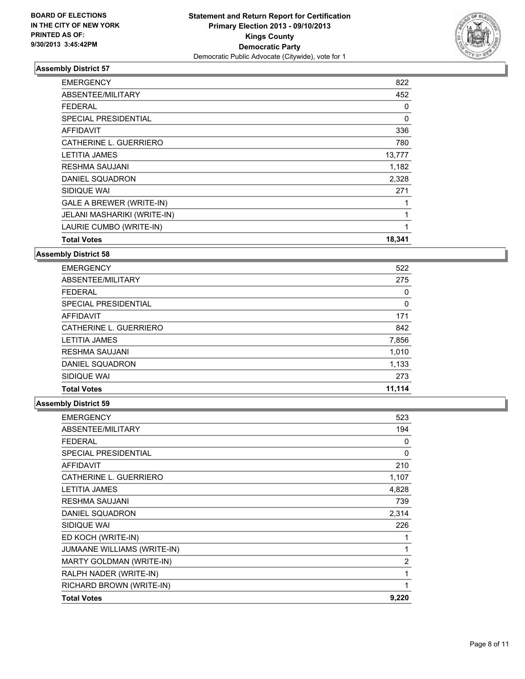

| <b>EMERGENCY</b>                | 822      |
|---------------------------------|----------|
| ABSENTEE/MILITARY               | 452      |
| <b>FEDERAL</b>                  | 0        |
| <b>SPECIAL PRESIDENTIAL</b>     | $\Omega$ |
| <b>AFFIDAVIT</b>                | 336      |
| CATHERINE L. GUERRIERO          | 780      |
| <b>LETITIA JAMES</b>            | 13,777   |
| <b>RESHMA SAUJANI</b>           | 1,182    |
| DANIEL SQUADRON                 | 2,328    |
| SIDIQUE WAI                     | 271      |
| <b>GALE A BREWER (WRITE-IN)</b> |          |
| JELANI MASHARIKI (WRITE-IN)     |          |
| LAURIE CUMBO (WRITE-IN)         | 1        |
| <b>Total Votes</b>              | 18,341   |

**Assembly District 58**

| <b>EMERGENCY</b>       | 522    |
|------------------------|--------|
| ABSENTEE/MILITARY      | 275    |
| <b>FEDERAL</b>         | 0      |
| SPECIAL PRESIDENTIAL   | 0      |
| AFFIDAVIT              | 171    |
| CATHERINE L. GUERRIERO | 842    |
| <b>LETITIA JAMES</b>   | 7,856  |
| <b>RESHMA SAUJANI</b>  | 1,010  |
| DANIEL SQUADRON        | 1,133  |
| SIDIQUE WAI            | 273    |
| <b>Total Votes</b>     | 11.114 |

| <b>EMERGENCY</b>            | 523            |
|-----------------------------|----------------|
| <b>ABSENTEE/MILITARY</b>    | 194            |
| <b>FEDERAL</b>              | 0              |
| <b>SPECIAL PRESIDENTIAL</b> | 0              |
| <b>AFFIDAVIT</b>            | 210            |
| CATHERINE L. GUERRIERO      | 1,107          |
| <b>LETITIA JAMES</b>        | 4,828          |
| <b>RESHMA SAUJANI</b>       | 739            |
| DANIEL SQUADRON             | 2,314          |
| SIDIQUE WAI                 | 226            |
| ED KOCH (WRITE-IN)          | 1              |
| JUMAANE WILLIAMS (WRITE-IN) | 1              |
| MARTY GOLDMAN (WRITE-IN)    | $\overline{2}$ |
| RALPH NADER (WRITE-IN)      | 1              |
| RICHARD BROWN (WRITE-IN)    |                |
| <b>Total Votes</b>          | 9,220          |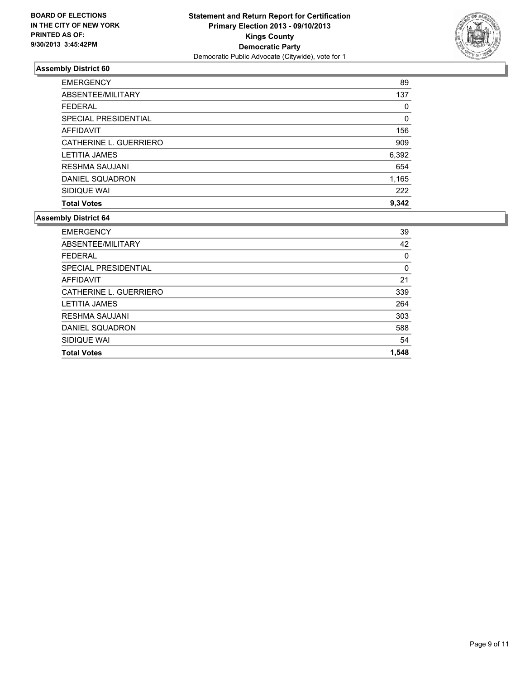

| <b>EMERGENCY</b>       | 89    |
|------------------------|-------|
| ABSENTEE/MILITARY      | 137   |
| <b>FEDERAL</b>         | 0     |
| SPECIAL PRESIDENTIAL   | 0     |
| AFFIDAVIT              | 156   |
| CATHERINE L. GUERRIERO | 909   |
| <b>LETITIA JAMES</b>   | 6,392 |
| <b>RESHMA SAUJANI</b>  | 654   |
| DANIEL SQUADRON        | 1,165 |
| SIDIQUE WAI            | 222   |
| <b>Total Votes</b>     | 9,342 |

| <b>Total Votes</b>     | 1,548 |
|------------------------|-------|
| SIDIQUE WAI            | 54    |
| DANIEL SQUADRON        | 588   |
| <b>RESHMA SAUJANI</b>  | 303   |
| <b>LETITIA JAMES</b>   | 264   |
| CATHERINE L. GUERRIERO | 339   |
| <b>AFFIDAVIT</b>       | 21    |
| SPECIAL PRESIDENTIAL   | 0     |
| <b>FEDERAL</b>         | 0     |
| ABSENTEE/MILITARY      | 42    |
| <b>EMERGENCY</b>       | 39    |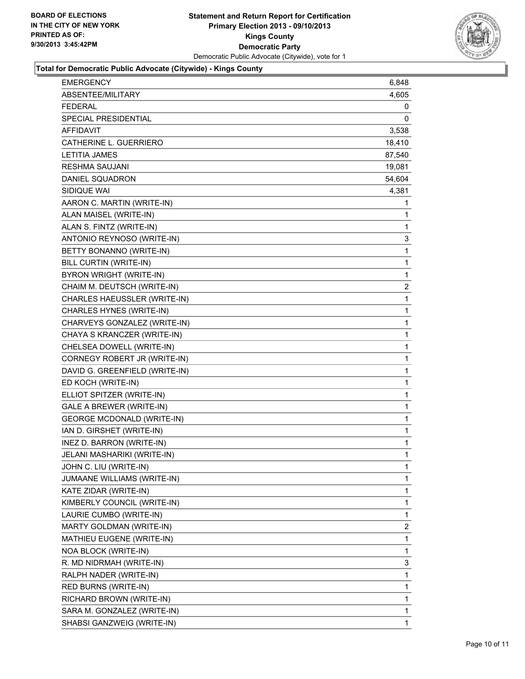

#### **Total for Democratic Public Advocate (Citywide) - Kings County**

| <b>EMERGENCY</b>                  | 6,848          |
|-----------------------------------|----------------|
| <b>ABSENTEE/MILITARY</b>          | 4,605          |
| <b>FEDERAL</b>                    | 0              |
| SPECIAL PRESIDENTIAL              | 0              |
| <b>AFFIDAVIT</b>                  | 3,538          |
| CATHERINE L. GUERRIERO            | 18,410         |
| <b>LETITIA JAMES</b>              | 87,540         |
| <b>RESHMA SAUJANI</b>             | 19,081         |
| DANIEL SQUADRON                   | 54,604         |
| SIDIQUE WAI                       | 4,381          |
| AARON C. MARTIN (WRITE-IN)        | 1              |
| ALAN MAISEL (WRITE-IN)            | 1              |
| ALAN S. FINTZ (WRITE-IN)          | 1              |
| ANTONIO REYNOSO (WRITE-IN)        | 3              |
| BETTY BONANNO (WRITE-IN)          | 1              |
| BILL CURTIN (WRITE-IN)            | 1              |
| BYRON WRIGHT (WRITE-IN)           | 1              |
| CHAIM M. DEUTSCH (WRITE-IN)       | $\overline{2}$ |
| CHARLES HAEUSSLER (WRITE-IN)      | 1              |
| CHARLES HYNES (WRITE-IN)          | 1              |
| CHARVEYS GONZALEZ (WRITE-IN)      | 1              |
| CHAYA S KRANCZER (WRITE-IN)       | 1              |
| CHELSEA DOWELL (WRITE-IN)         | 1              |
| CORNEGY ROBERT JR (WRITE-IN)      | 1              |
| DAVID G. GREENFIELD (WRITE-IN)    | 1              |
| ED KOCH (WRITE-IN)                | 1              |
| ELLIOT SPITZER (WRITE-IN)         | 1              |
| <b>GALE A BREWER (WRITE-IN)</b>   | 1              |
| <b>GEORGE MCDONALD (WRITE-IN)</b> | 1              |
| IAN D. GIRSHET (WRITE-IN)         | 1              |
| INEZ D. BARRON (WRITE-IN)         | 1              |
| JELANI MASHARIKI (WRITE-IN)       | $\mathbf{1}$   |
| JOHN C. LIU (WRITE-IN)            | 1              |
| JUMAANE WILLIAMS (WRITE-IN)       | 1              |
| KATE ZIDAR (WRITE-IN)             | 1              |
| KIMBERLY COUNCIL (WRITE-IN)       | 1              |
| LAURIE CUMBO (WRITE-IN)           | 1              |
| MARTY GOLDMAN (WRITE-IN)          | 2              |
| MATHIEU EUGENE (WRITE-IN)         | 1              |
| NOA BLOCK (WRITE-IN)              | 1              |
| R. MD NIDRMAH (WRITE-IN)          | 3              |
| RALPH NADER (WRITE-IN)            | 1              |
| RED BURNS (WRITE-IN)              | 1              |
| RICHARD BROWN (WRITE-IN)          | 1              |
| SARA M. GONZALEZ (WRITE-IN)       | 1              |
| SHABSI GANZWEIG (WRITE-IN)        | 1.             |
|                                   |                |